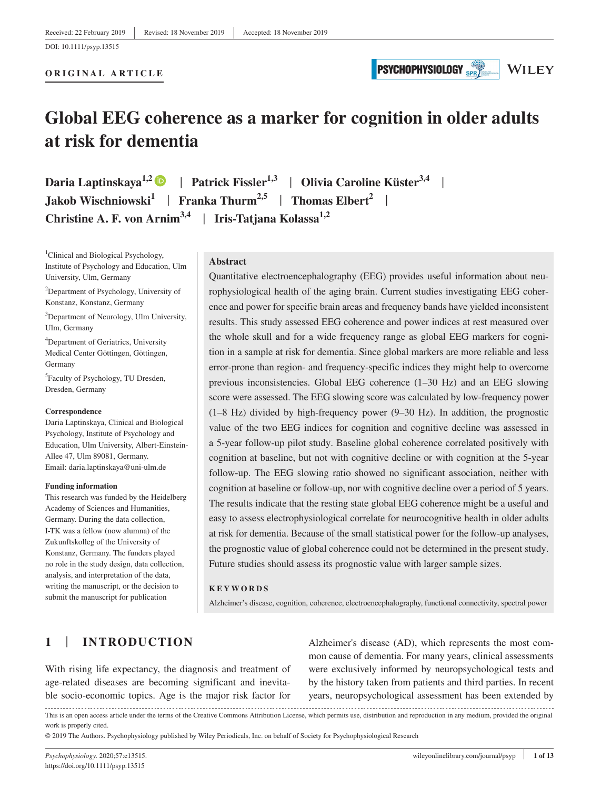# **PSYCHOPHYSIOLOGY**

**WILEY** 

# **Global EEG coherence as a marker for cognition in older adults at risk for dementia**

**Daria Laptinskaya<sup>1,[2](https://orcid.org/0000-0001-5773-7482)</sup> D | Patrick Fissler<sup>1,3</sup> | Olivia Caroline Küster<sup>3,4</sup> | Jakob Wischniowski1** | **Franka Thurm2,5** | **Thomas Elbert<sup>2</sup>** | **Christine A. F. von Arnim3,4** | **Iris-Tatjana Kolassa1,2**

<sup>1</sup>Clinical and Biological Psychology, Institute of Psychology and Education, Ulm University, Ulm, Germany

<sup>2</sup>Department of Psychology, University of Konstanz, Konstanz, Germany

3 Department of Neurology, Ulm University, Ulm, Germany

4 Department of Geriatrics, University Medical Center Göttingen, Göttingen, Germany

5 Faculty of Psychology, TU Dresden, Dresden, Germany

#### **Correspondence**

Daria Laptinskaya, Clinical and Biological Psychology, Institute of Psychology and Education, Ulm University, Albert-Einstein-Allee 47, Ulm 89081, Germany. Email: [daria.laptinskaya@uni-ulm.de](mailto:daria.laptinskaya@uni-ulm.de)

#### **Funding information**

This research was funded by the Heidelberg Academy of Sciences and Humanities, Germany. During the data collection, I-TK was a fellow (now alumna) of the Zukunftskolleg of the University of Konstanz, Germany. The funders played no role in the study design, data collection, analysis, and interpretation of the data, writing the manuscript, or the decision to submit the manuscript for publication

#### **Abstract**

Quantitative electroencephalography (EEG) provides useful information about neurophysiological health of the aging brain. Current studies investigating EEG coherence and power for specific brain areas and frequency bands have yielded inconsistent results. This study assessed EEG coherence and power indices at rest measured over the whole skull and for a wide frequency range as global EEG markers for cognition in a sample at risk for dementia. Since global markers are more reliable and less error-prone than region- and frequency-specific indices they might help to overcome previous inconsistencies. Global EEG coherence (1–30 Hz) and an EEG slowing score were assessed. The EEG slowing score was calculated by low-frequency power (1–8 Hz) divided by high-frequency power (9–30 Hz). In addition, the prognostic value of the two EEG indices for cognition and cognitive decline was assessed in a 5-year follow-up pilot study. Baseline global coherence correlated positively with cognition at baseline, but not with cognitive decline or with cognition at the 5-year follow-up. The EEG slowing ratio showed no significant association, neither with cognition at baseline or follow-up, nor with cognitive decline over a period of 5 years. The results indicate that the resting state global EEG coherence might be a useful and easy to assess electrophysiological correlate for neurocognitive health in older adults at risk for dementia. Because of the small statistical power for the follow-up analyses, the prognostic value of global coherence could not be determined in the present study. Future studies should assess its prognostic value with larger sample sizes.

#### **KEYWORDS**

Alzheimer's disease, cognition, coherence, electroencephalography, functional connectivity, spectral power

## **1** | **INTRODUCTION**

With rising life expectancy, the diagnosis and treatment of age-related diseases are becoming significant and inevitable socio-economic topics. Age is the major risk factor for Alzheimer's disease (AD), which represents the most common cause of dementia. For many years, clinical assessments were exclusively informed by neuropsychological tests and by the history taken from patients and third parties. In recent years, neuropsychological assessment has been extended by

This is an open access article under the terms of the [Creative Commons Attribution](http://creativecommons.org/licenses/by/4.0/) License, which permits use, distribution and reproduction in any medium, provided the original work is properly cited.

© 2019 The Authors. Psychophysiology published by Wiley Periodicals, Inc. on behalf of Society for Psychophysiological Research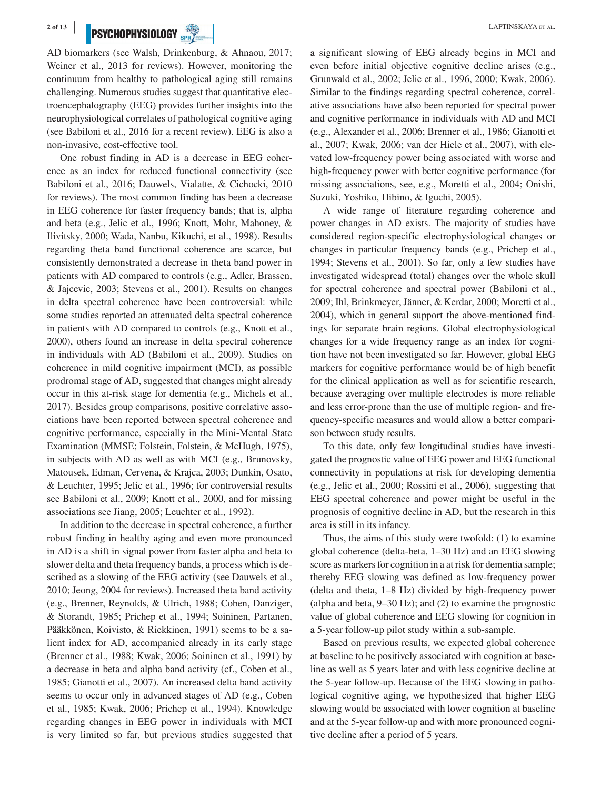# **PSYCHOPHYSIOLOGY** SPRACH **EXPTINSKAYA ET AL.**

AD biomarkers (see Walsh, Drinkenburg, & Ahnaou, 2017; Weiner et al., 2013 for reviews). However, monitoring the continuum from healthy to pathological aging still remains challenging. Numerous studies suggest that quantitative electroencephalography (EEG) provides further insights into the neurophysiological correlates of pathological cognitive aging (see Babiloni et al., 2016 for a recent review). EEG is also a non-invasive, cost-effective tool.

One robust finding in AD is a decrease in EEG coherence as an index for reduced functional connectivity (see Babiloni et al., 2016; Dauwels, Vialatte, & Cichocki, 2010 for reviews). The most common finding has been a decrease in EEG coherence for faster frequency bands; that is, alpha and beta (e.g., Jelic et al., 1996; Knott, Mohr, Mahoney, & Ilivitsky, 2000; Wada, Nanbu, Kikuchi, et al., 1998). Results regarding theta band functional coherence are scarce, but consistently demonstrated a decrease in theta band power in patients with AD compared to controls (e.g., Adler, Brassen, & Jajcevic, 2003; Stevens et al., 2001). Results on changes in delta spectral coherence have been controversial: while some studies reported an attenuated delta spectral coherence in patients with AD compared to controls (e.g., Knott et al., 2000), others found an increase in delta spectral coherence in individuals with AD (Babiloni et al., 2009). Studies on coherence in mild cognitive impairment (MCI), as possible prodromal stage of AD, suggested that changes might already occur in this at-risk stage for dementia (e.g., Michels et al., 2017). Besides group comparisons, positive correlative associations have been reported between spectral coherence and cognitive performance, especially in the Mini-Mental State Examination (MMSE; Folstein, Folstein, & McHugh, 1975), in subjects with AD as well as with MCI (e.g., Brunovsky, Matousek, Edman, Cervena, & Krajca, 2003; Dunkin, Osato, & Leuchter, 1995; Jelic et al., 1996; for controversial results see Babiloni et al., 2009; Knott et al., 2000, and for missing associations see Jiang, 2005; Leuchter et al., 1992).

In addition to the decrease in spectral coherence, a further robust finding in healthy aging and even more pronounced in AD is a shift in signal power from faster alpha and beta to slower delta and theta frequency bands, a process which is described as a slowing of the EEG activity (see Dauwels et al., 2010; Jeong, 2004 for reviews). Increased theta band activity (e.g., Brenner, Reynolds, & Ulrich, 1988; Coben, Danziger, & Storandt, 1985; Prichep et al., 1994; Soininen, Partanen, Pääkkönen, Koivisto, & Riekkinen, 1991) seems to be a salient index for AD, accompanied already in its early stage (Brenner et al., 1988; Kwak, 2006; Soininen et al., 1991) by a decrease in beta and alpha band activity (cf., Coben et al., 1985; Gianotti et al., 2007). An increased delta band activity seems to occur only in advanced stages of AD (e.g., Coben et al., 1985; Kwak, 2006; Prichep et al., 1994). Knowledge regarding changes in EEG power in individuals with MCI is very limited so far, but previous studies suggested that

a significant slowing of EEG already begins in MCI and even before initial objective cognitive decline arises (e.g., Grunwald et al., 2002; Jelic et al., 1996, 2000; Kwak, 2006). Similar to the findings regarding spectral coherence, correlative associations have also been reported for spectral power and cognitive performance in individuals with AD and MCI (e.g., Alexander et al., 2006; Brenner et al., 1986; Gianotti et al., 2007; Kwak, 2006; van der Hiele et al., 2007), with elevated low-frequency power being associated with worse and high-frequency power with better cognitive performance (for missing associations, see, e.g., Moretti et al., 2004; Onishi, Suzuki, Yoshiko, Hibino, & Iguchi, 2005).

A wide range of literature regarding coherence and power changes in AD exists. The majority of studies have considered region-specific electrophysiological changes or changes in particular frequency bands (e.g., Prichep et al., 1994; Stevens et al., 2001). So far, only a few studies have investigated widespread (total) changes over the whole skull for spectral coherence and spectral power (Babiloni et al., 2009; Ihl, Brinkmeyer, Jänner, & Kerdar, 2000; Moretti et al., 2004), which in general support the above-mentioned findings for separate brain regions. Global electrophysiological changes for a wide frequency range as an index for cognition have not been investigated so far. However, global EEG markers for cognitive performance would be of high benefit for the clinical application as well as for scientific research, because averaging over multiple electrodes is more reliable and less error-prone than the use of multiple region- and frequency-specific measures and would allow a better comparison between study results.

To this date, only few longitudinal studies have investigated the prognostic value of EEG power and EEG functional connectivity in populations at risk for developing dementia (e.g., Jelic et al., 2000; Rossini et al., 2006), suggesting that EEG spectral coherence and power might be useful in the prognosis of cognitive decline in AD, but the research in this area is still in its infancy.

Thus, the aims of this study were twofold: (1) to examine global coherence (delta-beta, 1–30 Hz) and an EEG slowing score as markers for cognition in a at risk for dementia sample; thereby EEG slowing was defined as low-frequency power (delta and theta, 1–8 Hz) divided by high-frequency power (alpha and beta, 9–30 Hz); and (2) to examine the prognostic value of global coherence and EEG slowing for cognition in a 5-year follow-up pilot study within a sub-sample.

Based on previous results, we expected global coherence at baseline to be positively associated with cognition at baseline as well as 5 years later and with less cognitive decline at the 5-year follow-up. Because of the EEG slowing in pathological cognitive aging, we hypothesized that higher EEG slowing would be associated with lower cognition at baseline and at the 5-year follow-up and with more pronounced cognitive decline after a period of 5 years.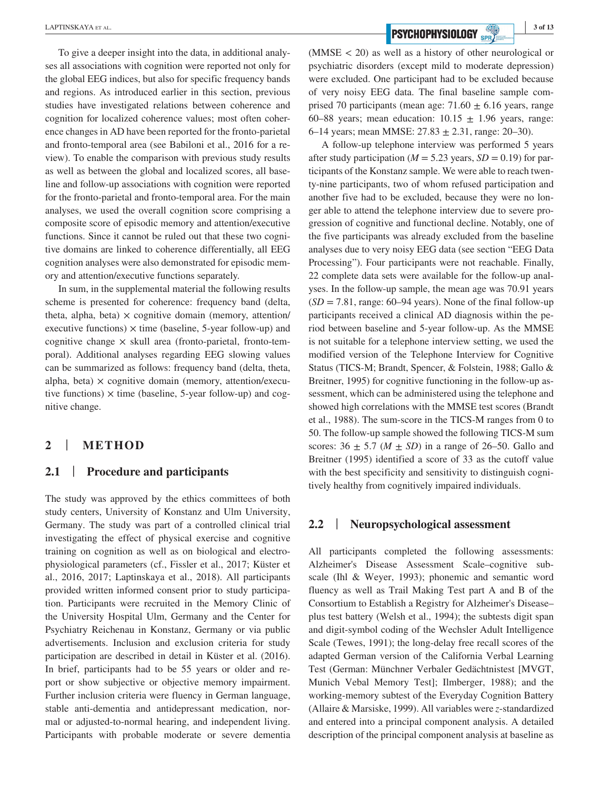To give a deeper insight into the data, in additional analyses all associations with cognition were reported not only for the global EEG indices, but also for specific frequency bands and regions. As introduced earlier in this section, previous studies have investigated relations between coherence and cognition for localized coherence values; most often coherence changes in AD have been reported for the fronto-parietal and fronto-temporal area (see Babiloni et al., 2016 for a review). To enable the comparison with previous study results as well as between the global and localized scores, all baseline and follow-up associations with cognition were reported for the fronto-parietal and fronto-temporal area. For the main analyses, we used the overall cognition score comprising a composite score of episodic memory and attention/executive functions. Since it cannot be ruled out that these two cognitive domains are linked to coherence differentially, all EEG cognition analyses were also demonstrated for episodic memory and attention/executive functions separately.

In sum, in the supplemental material the following results scheme is presented for coherence: frequency band (delta, theta, alpha, beta)  $\times$  cognitive domain (memory, attention/ executive functions)  $\times$  time (baseline, 5-year follow-up) and cognitive change  $\times$  skull area (fronto-parietal, fronto-temporal). Additional analyses regarding EEG slowing values can be summarized as follows: frequency band (delta, theta, alpha, beta)  $\times$  cognitive domain (memory, attention/executive functions)  $\times$  time (baseline, 5-year follow-up) and cognitive change.

## **2** | **METHOD**

## **2.1** | **Procedure and participants**

The study was approved by the ethics committees of both study centers, University of Konstanz and Ulm University, Germany. The study was part of a controlled clinical trial investigating the effect of physical exercise and cognitive training on cognition as well as on biological and electrophysiological parameters (cf., Fissler et al., 2017; Küster et al., 2016, 2017; Laptinskaya et al., 2018). All participants provided written informed consent prior to study participation. Participants were recruited in the Memory Clinic of the University Hospital Ulm, Germany and the Center for Psychiatry Reichenau in Konstanz, Germany or via public advertisements. Inclusion and exclusion criteria for study participation are described in detail in Küster et al. (2016). In brief, participants had to be 55 years or older and report or show subjective or objective memory impairment. Further inclusion criteria were fluency in German language, stable anti-dementia and antidepressant medication, normal or adjusted-to-normal hearing, and independent living. Participants with probable moderate or severe dementia

**EXPTINSKAYA ET AL.** 3 of 13

(MMSE < 20) as well as a history of other neurological or psychiatric disorders (except mild to moderate depression) were excluded. One participant had to be excluded because of very noisy EEG data. The final baseline sample comprised 70 participants (mean age:  $71.60 \pm 6.16$  years, range 60–88 years; mean education:  $10.15 \pm 1.96$  years, range: 6–14 years; mean MMSE:  $27.83 \pm 2.31$ , range:  $20-30$ ).

A follow-up telephone interview was performed 5 years after study participation ( $M = 5.23$  years,  $SD = 0.19$ ) for participants of the Konstanz sample. We were able to reach twenty-nine participants, two of whom refused participation and another five had to be excluded, because they were no longer able to attend the telephone interview due to severe progression of cognitive and functional decline. Notably, one of the five participants was already excluded from the baseline analyses due to very noisy EEG data (see section "EEG Data Processing"). Four participants were not reachable. Finally, 22 complete data sets were available for the follow-up analyses. In the follow-up sample, the mean age was 70.91 years  $(SD = 7.81$ , range: 60–94 years). None of the final follow-up participants received a clinical AD diagnosis within the period between baseline and 5-year follow-up. As the MMSE is not suitable for a telephone interview setting, we used the modified version of the Telephone Interview for Cognitive Status (TICS-M; Brandt, Spencer, & Folstein, 1988; Gallo & Breitner, 1995) for cognitive functioning in the follow-up assessment, which can be administered using the telephone and showed high correlations with the MMSE test scores (Brandt et al., 1988). The sum-score in the TICS-M ranges from 0 to 50. The follow-up sample showed the following TICS-M sum scores:  $36 \pm 5.7$  ( $M \pm SD$ ) in a range of 26–50. Gallo and Breitner (1995) identified a score of 33 as the cutoff value with the best specificity and sensitivity to distinguish cognitively healthy from cognitively impaired individuals.

#### **2.2** | **Neuropsychological assessment**

All participants completed the following assessments: Alzheimer's Disease Assessment Scale–cognitive subscale (Ihl & Weyer, 1993); phonemic and semantic word fluency as well as Trail Making Test part A and B of the Consortium to Establish a Registry for Alzheimer's Disease– plus test battery (Welsh et al., 1994); the subtests digit span and digit-symbol coding of the Wechsler Adult Intelligence Scale (Tewes, 1991); the long-delay free recall scores of the adapted German version of the California Verbal Learning Test (German: Münchner Verbaler Gedächtnistest [MVGT, Munich Vebal Memory Test]; Ilmberger, 1988); and the working-memory subtest of the Everyday Cognition Battery (Allaire & Marsiske, 1999). All variables were *z*-standardized and entered into a principal component analysis. A detailed description of the principal component analysis at baseline as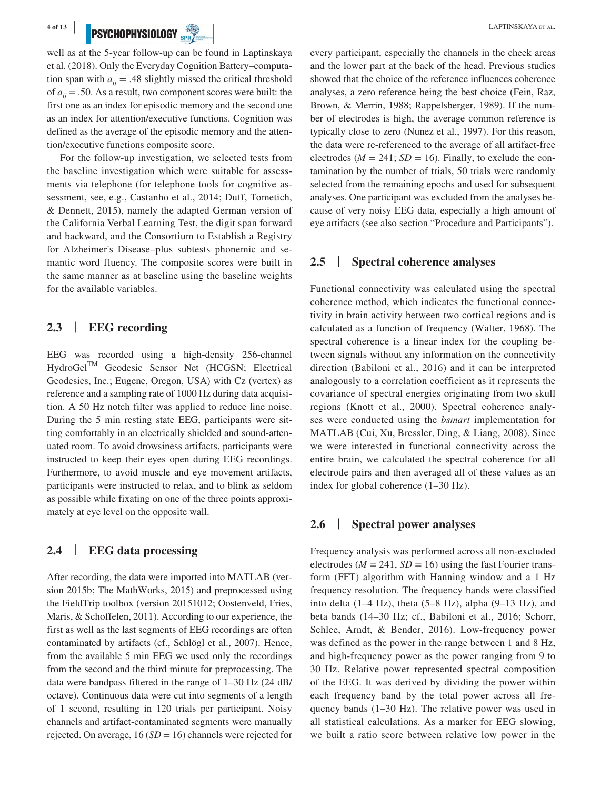# **PSYCHOPHYSIOLOGY** SPRACH **REPORT OF ALL APTINSKAYA ET AL.**

well as at the 5-year follow-up can be found in Laptinskaya et al. (2018). Only the Everyday Cognition Battery–computation span with  $a_{ii} = .48$  slightly missed the critical threshold of *aij* = .50. As a result, two component scores were built: the first one as an index for episodic memory and the second one as an index for attention/executive functions. Cognition was defined as the average of the episodic memory and the attention/executive functions composite score.

For the follow-up investigation, we selected tests from the baseline investigation which were suitable for assessments via telephone (for telephone tools for cognitive assessment, see, e.g., Castanho et al., 2014; Duff, Tometich, & Dennett, 2015), namely the adapted German version of the California Verbal Learning Test, the digit span forward and backward, and the Consortium to Establish a Registry for Alzheimer's Disease–plus subtests phonemic and semantic word fluency. The composite scores were built in the same manner as at baseline using the baseline weights for the available variables.

## **2.3** | **EEG recording**

EEG was recorded using a high-density 256-channel HydroGelTM Geodesic Sensor Net (HCGSN; Electrical Geodesics, Inc.; Eugene, Oregon, USA) with Cz (vertex) as reference and a sampling rate of 1000 Hz during data acquisition. A 50 Hz notch filter was applied to reduce line noise. During the 5 min resting state EEG, participants were sitting comfortably in an electrically shielded and sound-attenuated room. To avoid drowsiness artifacts, participants were instructed to keep their eyes open during EEG recordings. Furthermore, to avoid muscle and eye movement artifacts, participants were instructed to relax, and to blink as seldom as possible while fixating on one of the three points approximately at eye level on the opposite wall.

## **2.4** | **EEG data processing**

After recording, the data were imported into MATLAB (version 2015b; The MathWorks, 2015) and preprocessed using the FieldTrip toolbox (version 20151012; Oostenveld, Fries, Maris, & Schoffelen, 2011). According to our experience, the first as well as the last segments of EEG recordings are often contaminated by artifacts (cf., Schlögl et al., 2007). Hence, from the available 5 min EEG we used only the recordings from the second and the third minute for preprocessing. The data were bandpass filtered in the range of 1–30 Hz (24 dB/ octave). Continuous data were cut into segments of a length of 1 second, resulting in 120 trials per participant. Noisy channels and artifact-contaminated segments were manually rejected. On average, 16 (*SD* = 16) channels were rejected for every participant, especially the channels in the cheek areas and the lower part at the back of the head. Previous studies showed that the choice of the reference influences coherence analyses, a zero reference being the best choice (Fein, Raz, Brown, & Merrin, 1988; Rappelsberger, 1989). If the number of electrodes is high, the average common reference is typically close to zero (Nunez et al., 1997). For this reason, the data were re-referenced to the average of all artifact-free electrodes ( $M = 241$ ;  $SD = 16$ ). Finally, to exclude the contamination by the number of trials, 50 trials were randomly selected from the remaining epochs and used for subsequent analyses. One participant was excluded from the analyses because of very noisy EEG data, especially a high amount of eye artifacts (see also section "Procedure and Participants").

### **2.5** | **Spectral coherence analyses**

Functional connectivity was calculated using the spectral coherence method, which indicates the functional connectivity in brain activity between two cortical regions and is calculated as a function of frequency (Walter, 1968). The spectral coherence is a linear index for the coupling between signals without any information on the connectivity direction (Babiloni et al., 2016) and it can be interpreted analogously to a correlation coefficient as it represents the covariance of spectral energies originating from two skull regions (Knott et al., 2000). Spectral coherence analyses were conducted using the *bsmart* implementation for MATLAB (Cui, Xu, Bressler, Ding, & Liang, 2008). Since we were interested in functional connectivity across the entire brain, we calculated the spectral coherence for all electrode pairs and then averaged all of these values as an index for global coherence (1–30 Hz).

#### **2.6** | **Spectral power analyses**

Frequency analysis was performed across all non-excluded electrodes ( $M = 241$ ,  $SD = 16$ ) using the fast Fourier transform (FFT) algorithm with Hanning window and a 1 Hz frequency resolution. The frequency bands were classified into delta (1–4 Hz), theta (5–8 Hz), alpha (9–13 Hz), and beta bands (14–30 Hz; cf., Babiloni et al., 2016; Schorr, Schlee, Arndt, & Bender, 2016). Low-frequency power was defined as the power in the range between 1 and 8 Hz, and high-frequency power as the power ranging from 9 to 30 Hz. Relative power represented spectral composition of the EEG. It was derived by dividing the power within each frequency band by the total power across all frequency bands (1–30 Hz). The relative power was used in all statistical calculations. As a marker for EEG slowing, we built a ratio score between relative low power in the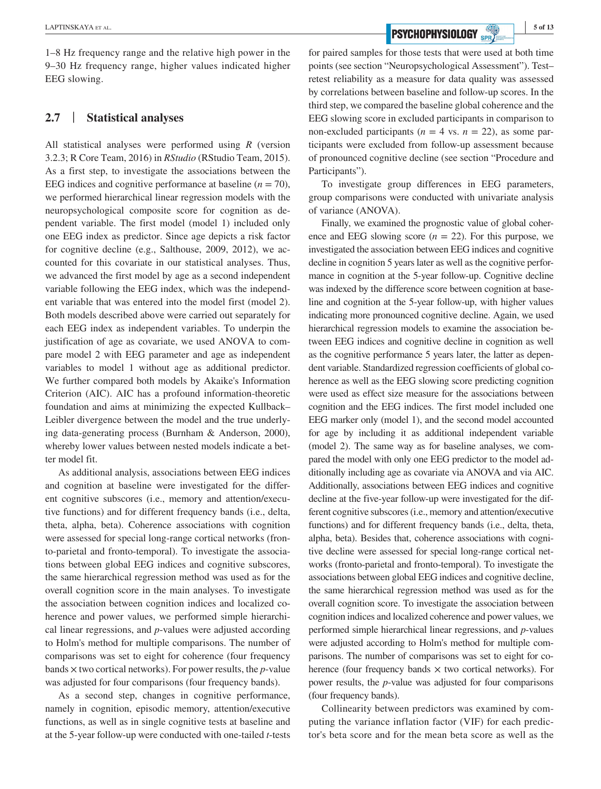1–8 Hz frequency range and the relative high power in the 9–30 Hz frequency range, higher values indicated higher EEG slowing.

### **2.7** | **Statistical analyses**

All statistical analyses were performed using *R* (version 3.2.3; R Core Team, 2016) in *RStudio* (RStudio Team, 2015). As a first step, to investigate the associations between the EEG indices and cognitive performance at baseline  $(n = 70)$ , we performed hierarchical linear regression models with the neuropsychological composite score for cognition as dependent variable. The first model (model 1) included only one EEG index as predictor. Since age depicts a risk factor for cognitive decline (e.g., Salthouse, 2009, 2012), we accounted for this covariate in our statistical analyses. Thus, we advanced the first model by age as a second independent variable following the EEG index, which was the independent variable that was entered into the model first (model 2). Both models described above were carried out separately for each EEG index as independent variables. To underpin the justification of age as covariate, we used ANOVA to compare model 2 with EEG parameter and age as independent variables to model 1 without age as additional predictor. We further compared both models by Akaike's Information Criterion (AIC). AIC has a profound information-theoretic foundation and aims at minimizing the expected Kullback– Leibler divergence between the model and the true underlying data-generating process (Burnham & Anderson, 2000), whereby lower values between nested models indicate a better model fit.

As additional analysis, associations between EEG indices and cognition at baseline were investigated for the different cognitive subscores (i.e., memory and attention/executive functions) and for different frequency bands (i.e., delta, theta, alpha, beta). Coherence associations with cognition were assessed for special long-range cortical networks (fronto-parietal and fronto-temporal). To investigate the associations between global EEG indices and cognitive subscores, the same hierarchical regression method was used as for the overall cognition score in the main analyses. To investigate the association between cognition indices and localized coherence and power values, we performed simple hierarchical linear regressions, and *p*-values were adjusted according to Holm's method for multiple comparisons. The number of comparisons was set to eight for coherence (four frequency bands × two cortical networks). For power results, the *p*-value was adjusted for four comparisons (four frequency bands).

As a second step, changes in cognitive performance, namely in cognition, episodic memory, attention/executive functions, as well as in single cognitive tests at baseline and at the 5-year follow-up were conducted with one-tailed *t*-tests

**EXPTINSKAYA ET AL.** 5 of 13

for paired samples for those tests that were used at both time points (see section "Neuropsychological Assessment"). Test– retest reliability as a measure for data quality was assessed by correlations between baseline and follow-up scores. In the third step, we compared the baseline global coherence and the EEG slowing score in excluded participants in comparison to non-excluded participants ( $n = 4$  vs.  $n = 22$ ), as some participants were excluded from follow-up assessment because of pronounced cognitive decline (see section "Procedure and Participants").

To investigate group differences in EEG parameters, group comparisons were conducted with univariate analysis of variance (ANOVA).

Finally, we examined the prognostic value of global coherence and EEG slowing score  $(n = 22)$ . For this purpose, we investigated the association between EEG indices and cognitive decline in cognition 5 years later as well as the cognitive performance in cognition at the 5-year follow-up. Cognitive decline was indexed by the difference score between cognition at baseline and cognition at the 5-year follow-up, with higher values indicating more pronounced cognitive decline. Again, we used hierarchical regression models to examine the association between EEG indices and cognitive decline in cognition as well as the cognitive performance 5 years later, the latter as dependent variable. Standardized regression coefficients of global coherence as well as the EEG slowing score predicting cognition were used as effect size measure for the associations between cognition and the EEG indices. The first model included one EEG marker only (model 1), and the second model accounted for age by including it as additional independent variable (model 2). The same way as for baseline analyses, we compared the model with only one EEG predictor to the model additionally including age as covariate via ANOVA and via AIC. Additionally, associations between EEG indices and cognitive decline at the five-year follow-up were investigated for the different cognitive subscores (i.e., memory and attention/executive functions) and for different frequency bands (i.e., delta, theta, alpha, beta). Besides that, coherence associations with cognitive decline were assessed for special long-range cortical networks (fronto-parietal and fronto-temporal). To investigate the associations between global EEG indices and cognitive decline, the same hierarchical regression method was used as for the overall cognition score. To investigate the association between cognition indices and localized coherence and power values, we performed simple hierarchical linear regressions, and *p*-values were adjusted according to Holm's method for multiple comparisons. The number of comparisons was set to eight for coherence (four frequency bands  $\times$  two cortical networks). For power results, the *p*-value was adjusted for four comparisons (four frequency bands).

Collinearity between predictors was examined by computing the variance inflation factor (VIF) for each predictor's beta score and for the mean beta score as well as the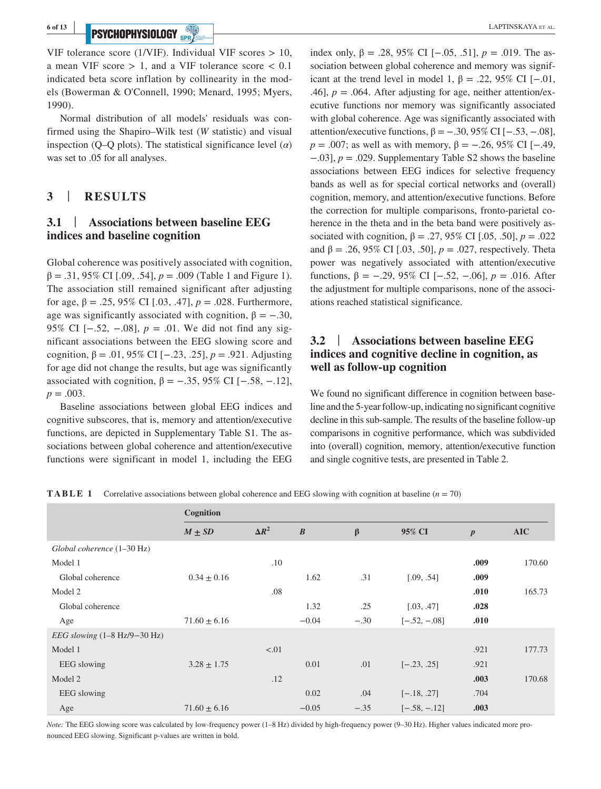# **PSYCHOPHYSIOLOGY** SOFTING THE CONTRACT OF THE CONTRACT OF THE CONTRACT OF THE CONTRACT OF THE CONTRACT OF THE CONTRACT OF THE CONTRACT OF THE CONTRACT OF THE CONTRACT OF THE CONTRACT OF THE CONTRACT OF THE CONTRACT OF THE

VIF tolerance score (1/VIF). Individual VIF scores  $> 10$ , a mean VIF score  $> 1$ , and a VIF tolerance score  $< 0.1$ indicated beta score inflation by collinearity in the models (Bowerman & O'Connell, 1990; Menard, 1995; Myers, 1990).

Normal distribution of all models' residuals was confirmed using the Shapiro–Wilk test (*W* statistic) and visual inspection (Q–Q plots). The statistical significance level  $(\alpha)$ was set to .05 for all analyses.

### **3** | **RESULTS**

## **3.1** | **Associations between baseline EEG indices and baseline cognition**

Global coherence was positively associated with cognition, β = .31, 95% CI [.09, .54], *p* = .009 (Table 1 and Figure 1). The association still remained significant after adjusting for age, β = .25, 95% CI [.03, .47], *p* = .028. Furthermore, age was significantly associated with cognition,  $\beta = -.30$ , 95% CI [−.52, −.08],  $p = .01$ . We did not find any significant associations between the EEG slowing score and cognition, β = .01, 95% CI [−.23, .25], *p* = .921. Adjusting for age did not change the results, but age was significantly associated with cognition,  $\beta = -.35, 95\%$  CI [−.58, −.12],  $p = .003$ .

Baseline associations between global EEG indices and cognitive subscores, that is, memory and attention/executive functions, are depicted in Supplementary Table S1. The associations between global coherence and attention/executive functions were significant in model 1, including the EEG

index only, β = .28, 95% CI [−.05, .51], *p* = .019. The association between global coherence and memory was significant at the trend level in model 1,  $\beta = .22, 95\%$  CI [−.01, .46],  $p = .064$ . After adjusting for age, neither attention/executive functions nor memory was significantly associated with global coherence. Age was significantly associated with attention/executive functions,  $\beta = -.30, 95\%$  CI [−.53, −.08], *p* = .007; as well as with memory,  $\beta$  = −.26, 95% CI [−.49, −.03], *p* = .029. Supplementary Table S2 shows the baseline associations between EEG indices for selective frequency bands as well as for special cortical networks and (overall) cognition, memory, and attention/executive functions. Before the correction for multiple comparisons, fronto-parietal coherence in the theta and in the beta band were positively associated with cognition,  $β = .27, 95%$  CI [.05, .50],  $p = .022$ and β = .26, 95% CI [.03, .50],  $p = .027$ , respectively. Theta power was negatively associated with attention/executive functions, β = −.29, 95% CI [−.52, −.06], *p* = .016. After the adjustment for multiple comparisons, none of the associations reached statistical significance.

## **3.2** | **Associations between baseline EEG indices and cognitive decline in cognition, as well as follow-up cognition**

We found no significant difference in cognition between baseline and the 5-year follow-up, indicating no significant cognitive decline in this sub-sample. The results of the baseline follow-up comparisons in cognitive performance, which was subdivided into (overall) cognition, memory, attention/executive function and single cognitive tests, are presented in Table 2.

**TABLE 1** Correlative associations between global coherence and EEG slowing with cognition at baseline (*n* = 70)

|                                                | Cognition        |              |                  |         |                |                  |            |
|------------------------------------------------|------------------|--------------|------------------|---------|----------------|------------------|------------|
|                                                | $M \pm SD$       | $\Delta R^2$ | $\boldsymbol{B}$ | $\beta$ | 95% CI         | $\boldsymbol{p}$ | <b>AIC</b> |
| Global coherence (1-30 Hz)                     |                  |              |                  |         |                |                  |            |
| Model 1                                        |                  | .10          |                  |         |                | .009             | 170.60     |
| Global coherence                               | $0.34 \pm 0.16$  |              | 1.62             | .31     | [.09, .54]     | .009             |            |
| Model 2                                        |                  | .08          |                  |         |                | .010             | 165.73     |
| Global coherence                               |                  |              | 1.32             | .25     | [.03, .47]     | .028             |            |
| Age                                            | $71.60 \pm 6.16$ |              | $-0.04$          | $-.30$  | $[-.52, -.08]$ | .010             |            |
| EEG slowing $(1-8 \text{ Hz}/9-30 \text{ Hz})$ |                  |              |                  |         |                |                  |            |
| Model 1                                        |                  | < 01         |                  |         |                | .921             | 177.73     |
| EEG slowing                                    | $3.28 \pm 1.75$  |              | 0.01             | .01     | $[-.23, .25]$  | .921             |            |
| Model 2                                        |                  | .12          |                  |         |                | .003             | 170.68     |
| EEG slowing                                    |                  |              | 0.02             | .04     | $[-.18, .27]$  | .704             |            |
| Age                                            | $71.60 \pm 6.16$ |              | $-0.05$          | $-.35$  | $[-.58, -.12]$ | .003             |            |

*Note:* The EEG slowing score was calculated by low-frequency power (1–8 Hz) divided by high-frequency power (9–30 Hz). Higher values indicated more pronounced EEG slowing. Significant p-values are written in bold.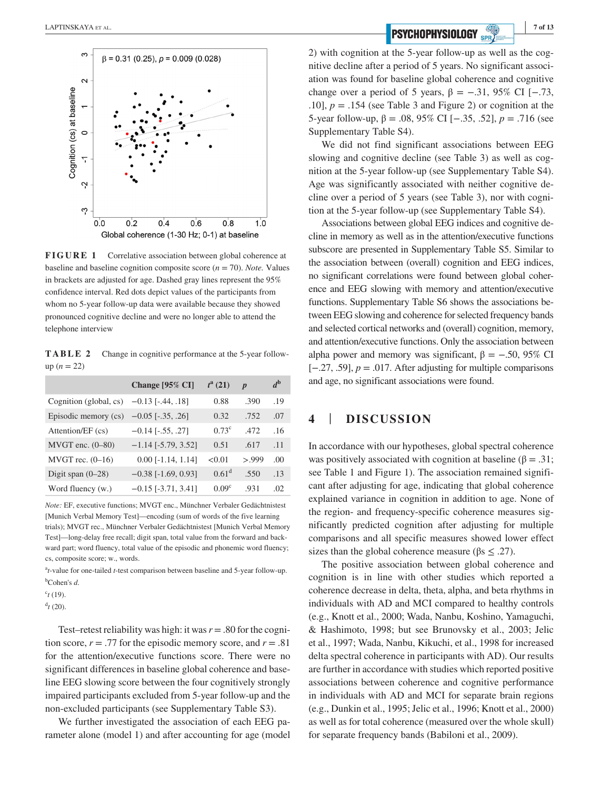

**FIGURE 1** Correlative association between global coherence at baseline and baseline cognition composite score  $(n = 70)$ . *Note.* Values in brackets are adjusted for age. Dashed gray lines represent the 95% confidence interval. Red dots depict values of the participants from whom no 5-year follow-up data were available because they showed pronounced cognitive decline and were no longer able to attend the telephone interview

**TABLE 2** Change in cognitive performance at the 5-year followup  $(n = 22)$ 

|                        | Change [95% CI]              | $t^a(21)$         | $\boldsymbol{p}$ | $d^{\rm b}$ |
|------------------------|------------------------------|-------------------|------------------|-------------|
| Cognition (global, cs) | $-0.13$ [ $-.44, .18$ ]      | 0.88              | .390             | .19         |
| Episodic memory (cs)   | $-0.05$ [ $-.35, .26$ ]      | 0.32              | .752             | .07         |
| Attention/EF (cs)      | $-0.14$ [ $-.55, .27$ ]      | $0.73^{\circ}$    | .472             | .16         |
| $MVGT$ enc. $(0-80)$   | $-1.14$ [ $-5.79$ , $3.52$ ] | 0.51              | .617             | .11         |
| MVGT rec. $(0-16)$     | $0.00$ [-1.14, 1.14]         | < 0.01            | > 999            | .00.        |
| Digit span $(0-28)$    | $-0.38$ [ $-1.69$ , 0.93]    | $0.61^d$          | .550             | .13         |
| Word fluency (w.)      | $-0.15$ [ $-3.71, 3.41$ ]    | 0.09 <sup>c</sup> | .931             | .02         |

*Note:* EF, executive functions; MVGT enc., Münchner Verbaler Gedächtnistest [Munich Verbal Memory Test]—encoding (sum of words of the five learning trials); MVGT rec., Münchner Verbaler Gedächtnistest [Munich Verbal Memory Test]—long-delay free recall; digit span, total value from the forward and backward part; word fluency, total value of the episodic and phonemic word fluency; cs, composite score; w., words.

a *t*-value for one-tailed *t*-test comparison between baseline and 5-year follow-up. b Cohen's *d*.

 $c$ <sup>t</sup> (19).

 $^{d}$ *t* (20).

Test–retest reliability was high: it was  $r = .80$  for the cognition score,  $r = .77$  for the episodic memory score, and  $r = .81$ for the attention/executive functions score. There were no significant differences in baseline global coherence and baseline EEG slowing score between the four cognitively strongly impaired participants excluded from 5-year follow-up and the non-excluded participants (see Supplementary Table S3).

We further investigated the association of each EEG parameter alone (model 1) and after accounting for age (model

2) with cognition at the 5-year follow-up as well as the cognitive decline after a period of 5 years. No significant association was found for baseline global coherence and cognitive change over a period of 5 years,  $\beta = -.31, 95\%$  CI [−.73, .10],  $p = .154$  (see Table 3 and Figure 2) or cognition at the 5-year follow-up, β = .08, 95% CI [−.35, .52], *p* = .716 (see Supplementary Table S4).

We did not find significant associations between EEG slowing and cognitive decline (see Table 3) as well as cognition at the 5-year follow-up (see Supplementary Table S4). Age was significantly associated with neither cognitive decline over a period of 5 years (see Table 3), nor with cognition at the 5-year follow-up (see Supplementary Table S4).

Associations between global EEG indices and cognitive decline in memory as well as in the attention/executive functions subscore are presented in Supplementary Table S5. Similar to the association between (overall) cognition and EEG indices, no significant correlations were found between global coherence and EEG slowing with memory and attention/executive functions. Supplementary Table S6 shows the associations between EEG slowing and coherence for selected frequency bands and selected cortical networks and (overall) cognition, memory, and attention/executive functions. Only the association between alpha power and memory was significant,  $β = -.50, 95%$  CI [−.27, .59], *p* = .017. After adjusting for multiple comparisons and age, no significant associations were found.

## **4** | **DISCUSSION**

In accordance with our hypotheses, global spectral coherence was positively associated with cognition at baseline ( $\beta = .31$ ; see Table 1 and Figure 1). The association remained significant after adjusting for age, indicating that global coherence explained variance in cognition in addition to age. None of the region- and frequency-specific coherence measures significantly predicted cognition after adjusting for multiple comparisons and all specific measures showed lower effect sizes than the global coherence measure ( $\beta$ s  $\leq$  .27).

The positive association between global coherence and cognition is in line with other studies which reported a coherence decrease in delta, theta, alpha, and beta rhythms in individuals with AD and MCI compared to healthy controls (e.g., Knott et al., 2000; Wada, Nanbu, Koshino, Yamaguchi, & Hashimoto, 1998; but see Brunovsky et al., 2003; Jelic et al., 1997; Wada, Nanbu, Kikuchi, et al., 1998 for increased delta spectral coherence in participants with AD). Our results are further in accordance with studies which reported positive associations between coherence and cognitive performance in individuals with AD and MCI for separate brain regions (e.g., Dunkin et al., 1995; Jelic et al., 1996; Knott et al., 2000) as well as for total coherence (measured over the whole skull) for separate frequency bands (Babiloni et al., 2009).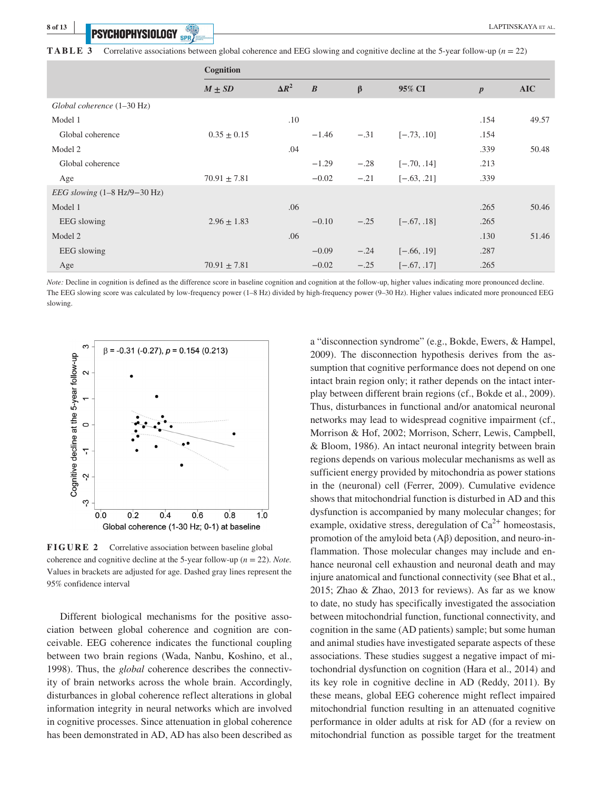**PSYCHOPHYSIOLOGY** *CONTRESSERVICE CONTRESSERVICE CONTRESSERVICE CONTRESSERVICE CONTRESSERVICE CONTRESSERVICE CONTRESSERVICE CONTRESSERVICE CONTRESSERVICE CONTRESSERVICE CONTRESSERVICE CONTRESSERVICE CONTRESSERVICE CONTRE* 

|                                                       | Cognition        |              |                  |                      |               |                  |       |
|-------------------------------------------------------|------------------|--------------|------------------|----------------------|---------------|------------------|-------|
|                                                       | $M \pm SD$       | $\Delta R^2$ | $\boldsymbol{B}$ | $\boldsymbol{\beta}$ | 95% CI        | $\boldsymbol{p}$ | AIC   |
| Global coherence (1-30 Hz)                            |                  |              |                  |                      |               |                  |       |
| Model 1                                               |                  | .10          |                  |                      |               | .154             | 49.57 |
| Global coherence                                      | $0.35 \pm 0.15$  |              | $-1.46$          | $-.31$               | $[-.73, .10]$ | .154             |       |
| Model 2                                               |                  | .04          |                  |                      |               | .339             | 50.48 |
| Global coherence                                      |                  |              | $-1.29$          | $-.28$               | $[-.70, .14]$ | .213             |       |
| Age                                                   | $70.91 \pm 7.81$ |              | $-0.02$          | $-.21$               | $[-.63, .21]$ | .339             |       |
| <i>EEG slowing</i> $(1-8 \text{ Hz}/9-30 \text{ Hz})$ |                  |              |                  |                      |               |                  |       |
| Model 1                                               |                  | .06          |                  |                      |               | .265             | 50.46 |
| EEG slowing                                           | $2.96 \pm 1.83$  |              | $-0.10$          | $-.25$               | $[-.67, .18]$ | .265             |       |
| Model 2                                               |                  | .06          |                  |                      |               | .130             | 51.46 |
| EEG slowing                                           |                  |              | $-0.09$          | $-.24$               | $[-.66, .19]$ | .287             |       |
| Age                                                   | $70.91 \pm 7.81$ |              | $-0.02$          | $-.25$               | $[-.67, .17]$ | .265             |       |

*Note:* Decline in cognition is defined as the difference score in baseline cognition and cognition at the follow-up, higher values indicating more pronounced decline. The EEG slowing score was calculated by low-frequency power (1–8 Hz) divided by high-frequency power (9–30 Hz). Higher values indicated more pronounced EEG slowing.



**FIGURE 2** Correlative association between baseline global coherence and cognitive decline at the 5-year follow-up (*n* = 22). *Note.* Values in brackets are adjusted for age. Dashed gray lines represent the 95% confidence interval

Different biological mechanisms for the positive association between global coherence and cognition are conceivable. EEG coherence indicates the functional coupling between two brain regions (Wada, Nanbu, Koshino, et al., 1998). Thus, the *global* coherence describes the connectivity of brain networks across the whole brain. Accordingly, disturbances in global coherence reflect alterations in global information integrity in neural networks which are involved in cognitive processes. Since attenuation in global coherence has been demonstrated in AD, AD has also been described as

a "disconnection syndrome" (e.g., Bokde, Ewers, & Hampel, 2009). The disconnection hypothesis derives from the assumption that cognitive performance does not depend on one intact brain region only; it rather depends on the intact interplay between different brain regions (cf., Bokde et al., 2009). Thus, disturbances in functional and/or anatomical neuronal networks may lead to widespread cognitive impairment (cf., Morrison & Hof, 2002; Morrison, Scherr, Lewis, Campbell, & Bloom, 1986). An intact neuronal integrity between brain regions depends on various molecular mechanisms as well as sufficient energy provided by mitochondria as power stations in the (neuronal) cell (Ferrer, 2009). Cumulative evidence shows that mitochondrial function is disturbed in AD and this dysfunction is accompanied by many molecular changes; for example, oxidative stress, deregulation of  $Ca^{2+}$  homeostasis, promotion of the amyloid beta (Aβ) deposition, and neuro-inflammation. Those molecular changes may include and enhance neuronal cell exhaustion and neuronal death and may injure anatomical and functional connectivity (see Bhat et al., 2015; Zhao & Zhao, 2013 for reviews). As far as we know to date, no study has specifically investigated the association between mitochondrial function, functional connectivity, and cognition in the same (AD patients) sample; but some human and animal studies have investigated separate aspects of these associations. These studies suggest a negative impact of mitochondrial dysfunction on cognition (Hara et al., 2014) and its key role in cognitive decline in AD (Reddy, 2011). By these means, global EEG coherence might reflect impaired mitochondrial function resulting in an attenuated cognitive performance in older adults at risk for AD (for a review on mitochondrial function as possible target for the treatment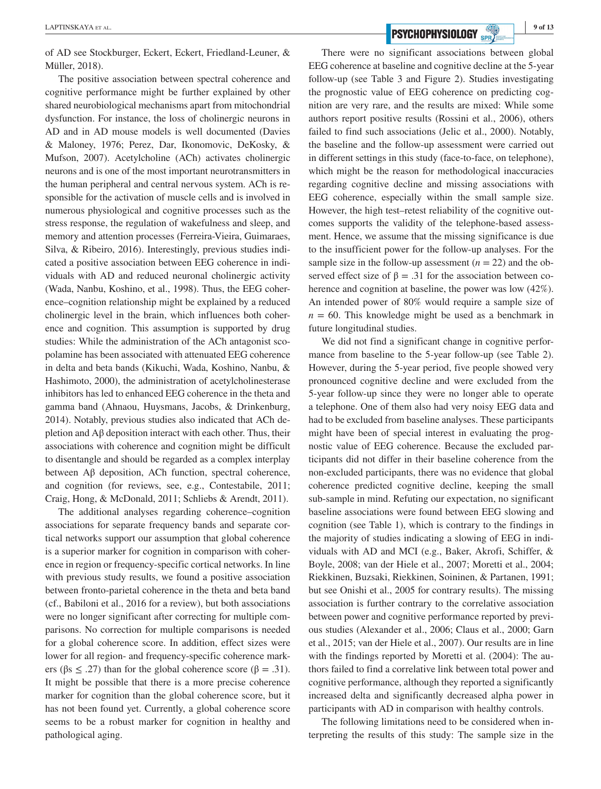of AD see Stockburger, Eckert, Eckert, Friedland-Leuner, & Müller, 2018).

The positive association between spectral coherence and cognitive performance might be further explained by other shared neurobiological mechanisms apart from mitochondrial dysfunction. For instance, the loss of cholinergic neurons in AD and in AD mouse models is well documented (Davies & Maloney, 1976; Perez, Dar, Ikonomovic, DeKosky, & Mufson, 2007). Acetylcholine (ACh) activates cholinergic neurons and is one of the most important neurotransmitters in the human peripheral and central nervous system. ACh is responsible for the activation of muscle cells and is involved in numerous physiological and cognitive processes such as the stress response, the regulation of wakefulness and sleep, and memory and attention processes (Ferreira-Vieira, Guimaraes, Silva, & Ribeiro, 2016). Interestingly, previous studies indicated a positive association between EEG coherence in individuals with AD and reduced neuronal cholinergic activity (Wada, Nanbu, Koshino, et al., 1998). Thus, the EEG coherence–cognition relationship might be explained by a reduced cholinergic level in the brain, which influences both coherence and cognition. This assumption is supported by drug studies: While the administration of the ACh antagonist scopolamine has been associated with attenuated EEG coherence in delta and beta bands (Kikuchi, Wada, Koshino, Nanbu, & Hashimoto, 2000), the administration of acetylcholinesterase inhibitors has led to enhanced EEG coherence in the theta and gamma band (Ahnaou, Huysmans, Jacobs, & Drinkenburg, 2014). Notably, previous studies also indicated that ACh depletion and  $\Delta\beta$  deposition interact with each other. Thus, their associations with coherence and cognition might be difficult to disentangle and should be regarded as a complex interplay between Aβ deposition, ACh function, spectral coherence, and cognition (for reviews, see, e.g., Contestabile, 2011; Craig, Hong, & McDonald, 2011; Schliebs & Arendt, 2011).

The additional analyses regarding coherence–cognition associations for separate frequency bands and separate cortical networks support our assumption that global coherence is a superior marker for cognition in comparison with coherence in region or frequency-specific cortical networks. In line with previous study results, we found a positive association between fronto-parietal coherence in the theta and beta band (cf., Babiloni et al., 2016 for a review), but both associations were no longer significant after correcting for multiple comparisons. No correction for multiple comparisons is needed for a global coherence score. In addition, effect sizes were lower for all region- and frequency-specific coherence markers ( $\beta$ s  $\leq$  .27) than for the global coherence score ( $\beta$  = .31). It might be possible that there is a more precise coherence marker for cognition than the global coherence score, but it has not been found yet. Currently, a global coherence score seems to be a robust marker for cognition in healthy and pathological aging.

**EXPTINSKAYA ET AL.** 9 of 13

There were no significant associations between global EEG coherence at baseline and cognitive decline at the 5-year follow-up (see Table 3 and Figure 2). Studies investigating the prognostic value of EEG coherence on predicting cognition are very rare, and the results are mixed: While some authors report positive results (Rossini et al., 2006), others failed to find such associations (Jelic et al., 2000). Notably, the baseline and the follow-up assessment were carried out in different settings in this study (face-to-face, on telephone), which might be the reason for methodological inaccuracies regarding cognitive decline and missing associations with EEG coherence, especially within the small sample size. However, the high test–retest reliability of the cognitive outcomes supports the validity of the telephone-based assessment. Hence, we assume that the missing significance is due to the insufficient power for the follow-up analyses. For the sample size in the follow-up assessment  $(n = 22)$  and the observed effect size of  $\beta = .31$  for the association between coherence and cognition at baseline, the power was low (42%). An intended power of 80% would require a sample size of  $n = 60$ . This knowledge might be used as a benchmark in future longitudinal studies.

We did not find a significant change in cognitive performance from baseline to the 5-year follow-up (see Table 2). However, during the 5-year period, five people showed very pronounced cognitive decline and were excluded from the 5-year follow-up since they were no longer able to operate a telephone. One of them also had very noisy EEG data and had to be excluded from baseline analyses. These participants might have been of special interest in evaluating the prognostic value of EEG coherence. Because the excluded participants did not differ in their baseline coherence from the non-excluded participants, there was no evidence that global coherence predicted cognitive decline, keeping the small sub-sample in mind. Refuting our expectation, no significant baseline associations were found between EEG slowing and cognition (see Table 1), which is contrary to the findings in the majority of studies indicating a slowing of EEG in individuals with AD and MCI (e.g., Baker, Akrofi, Schiffer, & Boyle, 2008; van der Hiele et al., 2007; Moretti et al., 2004; Riekkinen, Buzsaki, Riekkinen, Soininen, & Partanen, 1991; but see Onishi et al., 2005 for contrary results). The missing association is further contrary to the correlative association between power and cognitive performance reported by previous studies (Alexander et al., 2006; Claus et al., 2000; Garn et al., 2015; van der Hiele et al., 2007). Our results are in line with the findings reported by Moretti et al. (2004): The authors failed to find a correlative link between total power and cognitive performance, although they reported a significantly increased delta and significantly decreased alpha power in participants with AD in comparison with healthy controls.

The following limitations need to be considered when interpreting the results of this study: The sample size in the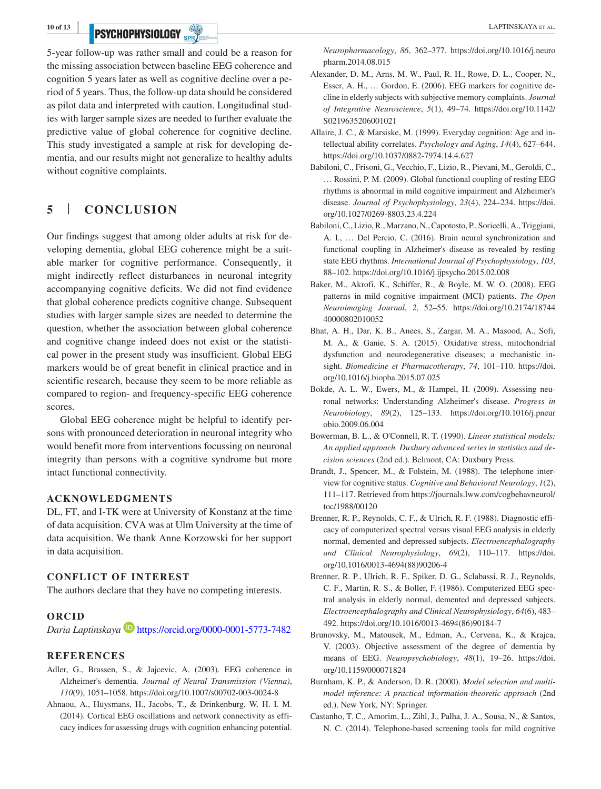**10 of 13 <sup>|</sup>**

# **PSYCHOPHYSIOLOGY** *SPR/*

5-year follow-up was rather small and could be a reason for the missing association between baseline EEG coherence and cognition 5 years later as well as cognitive decline over a period of 5 years. Thus, the follow-up data should be considered as pilot data and interpreted with caution. Longitudinal studies with larger sample sizes are needed to further evaluate the predictive value of global coherence for cognitive decline. This study investigated a sample at risk for developing dementia, and our results might not generalize to healthy adults without cognitive complaints.

## **5** | **CONCLUSION**

Our findings suggest that among older adults at risk for developing dementia, global EEG coherence might be a suitable marker for cognitive performance. Consequently, it might indirectly reflect disturbances in neuronal integrity accompanying cognitive deficits. We did not find evidence that global coherence predicts cognitive change. Subsequent studies with larger sample sizes are needed to determine the question, whether the association between global coherence and cognitive change indeed does not exist or the statistical power in the present study was insufficient. Global EEG markers would be of great benefit in clinical practice and in scientific research, because they seem to be more reliable as compared to region- and frequency-specific EEG coherence scores.

Global EEG coherence might be helpful to identify persons with pronounced deterioration in neuronal integrity who would benefit more from interventions focussing on neuronal integrity than persons with a cognitive syndrome but more intact functional connectivity.

### **ACKNOWLEDGMENTS**

DL, FT, and I-TK were at University of Konstanz at the time of data acquisition. CVA was at Ulm University at the time of data acquisition. We thank Anne Korzowski for her support in data acquisition.

### **CONFLICT OF INTEREST**

The authors declare that they have no competing interests.

### **ORCID**

*Daria Laptinskaya* <https://orcid.org/0000-0001-5773-7482>

#### **REFERENCES**

- Adler, G., Brassen, S., & Jajcevic, A. (2003). EEG coherence in Alzheimer's dementia. *Journal of Neural Transmission (Vienna)*, *110*(9), 1051–1058. <https://doi.org/10.1007/s00702-003-0024-8>
- Ahnaou, A., Huysmans, H., Jacobs, T., & Drinkenburg, W. H. I. M. (2014). Cortical EEG oscillations and network connectivity as efficacy indices for assessing drugs with cognition enhancing potential.

*Neuropharmacology*, *86*, 362–377. [https://doi.org/10.1016/j.neuro](https://doi.org/10.1016/j.neuropharm.2014.08.015) [pharm.2014.08.015](https://doi.org/10.1016/j.neuropharm.2014.08.015)

- Alexander, D. M., Arns, M. W., Paul, R. H., Rowe, D. L., Cooper, N., Esser, A. H., … Gordon, E. (2006). EEG markers for cognitive decline in elderly subjects with subjective memory complaints. *Journal of Integrative Neuroscience*, *5*(1), 49–74. [https://doi.org/10.1142/](https://doi.org/10.1142/S0219635206001021) [S0219635206001021](https://doi.org/10.1142/S0219635206001021)
- Allaire, J. C., & Marsiske, M. (1999). Everyday cognition: Age and intellectual ability correlates. *Psychology and Aging*, *14*(4), 627–644. <https://doi.org/10.1037/0882-7974.14.4.627>
- Babiloni, C., Frisoni, G., Vecchio, F., Lizio, R., Pievani, M., Geroldi, C., … Rossini, P. M. (2009). Global functional coupling of resting EEG rhythms is abnormal in mild cognitive impairment and Alzheimer's disease. *Journal of Psychophysiology*, *23*(4), 224–234. [https://doi.](https://doi.org/10.1027/0269-8803.23.4.224) [org/10.1027/0269-8803.23.4.224](https://doi.org/10.1027/0269-8803.23.4.224)
- Babiloni, C., Lizio, R., Marzano, N., Capotosto, P., Soricelli, A., Triggiani, A. I., … Del Percio, C. (2016). Brain neural synchronization and functional coupling in Alzheimer's disease as revealed by resting state EEG rhythms. *International Journal of Psychophysiology*, *103*, 88–102. <https://doi.org/10.1016/j.ijpsycho.2015.02.008>
- Baker, M., Akrofi, K., Schiffer, R., & Boyle, M. W. O. (2008). EEG patterns in mild cognitive impairment (MCI) patients. *The Open Neuroimaging Journal*, *2*, 52–55. [https://doi.org/10.2174/18744](https://doi.org/10.2174/1874440000802010052) [40000802010052](https://doi.org/10.2174/1874440000802010052)
- Bhat, A. H., Dar, K. B., Anees, S., Zargar, M. A., Masood, A., Sofi, M. A., & Ganie, S. A. (2015). Oxidative stress, mitochondrial dysfunction and neurodegenerative diseases; a mechanistic insight. *Biomedicine et Pharmacotherapy*, *74*, 101–110. [https://doi.](https://doi.org/10.1016/j.biopha.2015.07.025) [org/10.1016/j.biopha.2015.07.025](https://doi.org/10.1016/j.biopha.2015.07.025)
- Bokde, A. L. W., Ewers, M., & Hampel, H. (2009). Assessing neuronal networks: Understanding Alzheimer's disease. *Progress in Neurobiology*, *89*(2), 125–133. [https://doi.org/10.1016/j.pneur](https://doi.org/10.1016/j.pneurobio.2009.06.004) [obio.2009.06.004](https://doi.org/10.1016/j.pneurobio.2009.06.004)
- Bowerman, B. L., & O'Connell, R. T. (1990). *Linear statistical models: An applied approach. Duxbury advanced series in statistics and decision sciences* (2nd ed.). Belmont, CA: Duxbury Press.
- Brandt, J., Spencer, M., & Folstein, M. (1988). The telephone interview for cognitive status. *Cognitive and Behavioral Neurology*, *1*(2), 111–117. Retrieved from [https://journals.lww.com/cogbehavneurol/](https://journals.lww.com/cogbehavneurol/toc/1988/00120) [toc/1988/00120](https://journals.lww.com/cogbehavneurol/toc/1988/00120)
- Brenner, R. P., Reynolds, C. F., & Ulrich, R. F. (1988). Diagnostic efficacy of computerized spectral versus visual EEG analysis in elderly normal, demented and depressed subjects. *Electroencephalography and Clinical Neurophysiology*, *69*(2), 110–117. [https://doi.](https://doi.org/10.1016/0013-4694(88)90206-4) [org/10.1016/0013-4694\(88\)90206-4](https://doi.org/10.1016/0013-4694(88)90206-4)
- Brenner, R. P., Ulrich, R. F., Spiker, D. G., Sclabassi, R. J., Reynolds, C. F., Martin, R. S., & Boller, F. (1986). Computerized EEG spectral analysis in elderly normal, demented and depressed subjects. *Electroencephalography and Clinical Neurophysiology*, *64*(6), 483– 492. [https://doi.org/10.1016/0013-4694\(86\)90184-7](https://doi.org/10.1016/0013-4694(86)90184-7)
- Brunovsky, M., Matousek, M., Edman, A., Cervena, K., & Krajca, V. (2003). Objective assessment of the degree of dementia by means of EEG. *Neuropsychobiology*, *48*(1), 19–26. [https://doi.](https://doi.org/10.1159/000071824) [org/10.1159/000071824](https://doi.org/10.1159/000071824)
- Burnham, K. P., & Anderson, D. R. (2000). *Model selection and multimodel inference: A practical information-theoretic approach* (2nd ed.). New York, NY: Springer.
- Castanho, T. C., Amorim, L., Zihl, J., Palha, J. A., Sousa, N., & Santos, N. C. (2014). Telephone-based screening tools for mild cognitive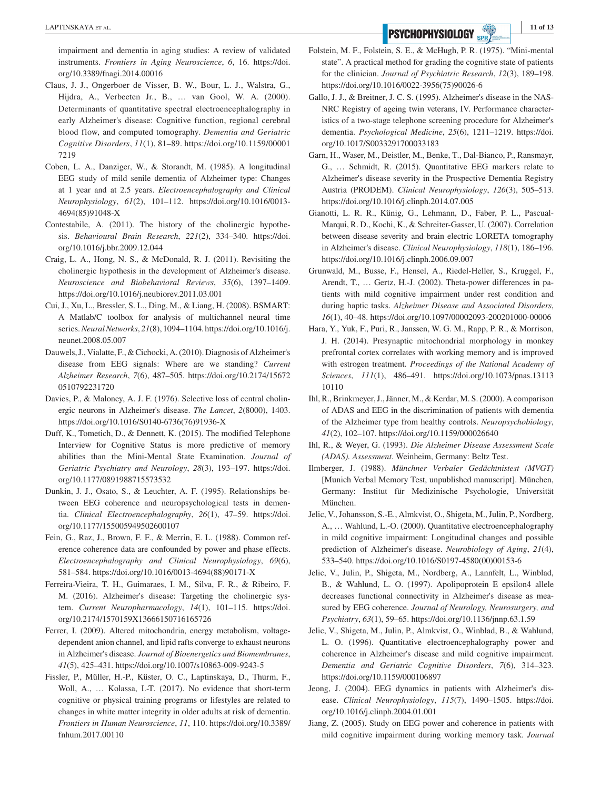**EXPTINSKAYA ET AL. 11 of 13 PSYCHOPHYSIOLOGY SPR** 

impairment and dementia in aging studies: A review of validated instruments. *Frontiers in Aging Neuroscience*, *6*, 16. [https://doi.](https://doi.org/10.3389/fnagi.2014.00016) [org/10.3389/fnagi.2014.00016](https://doi.org/10.3389/fnagi.2014.00016)

- Claus, J. J., Ongerboer de Visser, B. W., Bour, L. J., Walstra, G., Hijdra, A., Verbeeten Jr., B., … van Gool, W. A. (2000). Determinants of quantitative spectral electroencephalography in early Alzheimer's disease: Cognitive function, regional cerebral blood flow, and computed tomography. *Dementia and Geriatric Cognitive Disorders*, *11*(1), 81–89. [https://doi.org/10.1159/00001](https://doi.org/10.1159/000017219) [7219](https://doi.org/10.1159/000017219)
- Coben, L. A., Danziger, W., & Storandt, M. (1985). A longitudinal EEG study of mild senile dementia of Alzheimer type: Changes at 1 year and at 2.5 years. *Electroencephalography and Clinical Neurophysiology*, *61*(2), 101–112. [https://doi.org/10.1016/0013-](https://doi.org/10.1016/0013-4694(85)91048-X) [4694\(85\)91048-X](https://doi.org/10.1016/0013-4694(85)91048-X)
- Contestabile, A. (2011). The history of the cholinergic hypothesis. *Behavioural Brain Research*, *221*(2), 334–340. [https://doi.](https://doi.org/10.1016/j.bbr.2009.12.044) [org/10.1016/j.bbr.2009.12.044](https://doi.org/10.1016/j.bbr.2009.12.044)
- Craig, L. A., Hong, N. S., & McDonald, R. J. (2011). Revisiting the cholinergic hypothesis in the development of Alzheimer's disease. *Neuroscience and Biobehavioral Reviews*, *35*(6), 1397–1409. <https://doi.org/10.1016/j.neubiorev.2011.03.001>
- Cui, J., Xu, L., Bressler, S. L., Ding, M., & Liang, H. (2008). BSMART: A Matlab/C toolbox for analysis of multichannel neural time series. *Neural Networks*, *21*(8), 1094–1104. [https://doi.org/10.1016/j.](https://doi.org/10.1016/j.neunet.2008.05.007) [neunet.2008.05.007](https://doi.org/10.1016/j.neunet.2008.05.007)
- Dauwels, J., Vialatte, F., & Cichocki, A. (2010). Diagnosis of Alzheimer's disease from EEG signals: Where are we standing? *Current Alzheimer Research*, *7*(6), 487–505. [https://doi.org/10.2174/15672](https://doi.org/10.2174/156720510792231720) [0510792231720](https://doi.org/10.2174/156720510792231720)
- Davies, P., & Maloney, A. J. F. (1976). Selective loss of central cholinergic neurons in Alzheimer's disease. *The Lancet*, *2*(8000), 1403. [https://doi.org/10.1016/S0140-6736\(76\)91936-X](https://doi.org/10.1016/S0140-6736(76)91936-X)
- Duff, K., Tometich, D., & Dennett, K. (2015). The modified Telephone Interview for Cognitive Status is more predictive of memory abilities than the Mini-Mental State Examination. *Journal of Geriatric Psychiatry and Neurology*, *28*(3), 193–197. [https://doi.](https://doi.org/10.1177/0891988715573532) [org/10.1177/0891988715573532](https://doi.org/10.1177/0891988715573532)
- Dunkin, J. J., Osato, S., & Leuchter, A. F. (1995). Relationships between EEG coherence and neuropsychological tests in dementia. *Clinical Electroencephalography*, *26*(1), 47–59. [https://doi.](https://doi.org/10.1177/155005949502600107) [org/10.1177/155005949502600107](https://doi.org/10.1177/155005949502600107)
- Fein, G., Raz, J., Brown, F. F., & Merrin, E. L. (1988). Common reference coherence data are confounded by power and phase effects. *Electroencephalography and Clinical Neurophysiology*, *69*(6), 581–584. [https://doi.org/10.1016/0013-4694\(88\)90171-X](https://doi.org/10.1016/0013-4694(88)90171-X)
- Ferreira-Vieira, T. H., Guimaraes, I. M., Silva, F. R., & Ribeiro, F. M. (2016). Alzheimer's disease: Targeting the cholinergic system. *Current Neuropharmacology*, *14*(1), 101–115. [https://doi.](https://doi.org/10.2174/1570159X13666150716165726) [org/10.2174/1570159X13666150716165726](https://doi.org/10.2174/1570159X13666150716165726)
- Ferrer, I. (2009). Altered mitochondria, energy metabolism, voltagedependent anion channel, and lipid rafts converge to exhaust neurons in Alzheimer's disease. *Journal of Bioenergetics and Biomembranes*, *41*(5), 425–431.<https://doi.org/10.1007/s10863-009-9243-5>
- Fissler, P., Müller, H.-P., Küster, O. C., Laptinskaya, D., Thurm, F., Woll, A., … Kolassa, I.-T. (2017). No evidence that short-term cognitive or physical training programs or lifestyles are related to changes in white matter integrity in older adults at risk of dementia. *Frontiers in Human Neuroscience*, *11*, 110. [https://doi.org/10.3389/](https://doi.org/10.3389/fnhum.2017.00110) [fnhum.2017.00110](https://doi.org/10.3389/fnhum.2017.00110)
- Folstein, M. F., Folstein, S. E., & McHugh, P. R. (1975). "Mini-mental state". A practical method for grading the cognitive state of patients for the clinician. *Journal of Psychiatric Research*, *12*(3), 189–198. [https://doi.org/10.1016/0022-3956\(75\)90026-6](https://doi.org/10.1016/0022-3956(75)90026-6)
- Gallo, J. J., & Breitner, J. C. S. (1995). Alzheimer's disease in the NAS-NRC Registry of ageing twin veterans, IV. Performance characteristics of a two-stage telephone screening procedure for Alzheimer's dementia. *Psychological Medicine*, *25*(6), 1211–1219. [https://doi.](https://doi.org/10.1017/S0033291700033183) [org/10.1017/S0033291700033183](https://doi.org/10.1017/S0033291700033183)
- Garn, H., Waser, M., Deistler, M., Benke, T., Dal-Bianco, P., Ransmayr, G., … Schmidt, R. (2015). Quantitative EEG markers relate to Alzheimer's disease severity in the Prospective Dementia Registry Austria (PRODEM). *Clinical Neurophysiology*, *126*(3), 505–513. <https://doi.org/10.1016/j.clinph.2014.07.005>
- Gianotti, L. R. R., Künig, G., Lehmann, D., Faber, P. L., Pascual-Marqui, R. D., Kochi, K., & Schreiter-Gasser, U. (2007). Correlation between disease severity and brain electric LORETA tomography in Alzheimer's disease. *Clinical Neurophysiology*, *118*(1), 186–196. <https://doi.org/10.1016/j.clinph.2006.09.007>
- Grunwald, M., Busse, F., Hensel, A., Riedel-Heller, S., Kruggel, F., Arendt, T., … Gertz, H.-J. (2002). Theta-power differences in patients with mild cognitive impairment under rest condition and during haptic tasks. *Alzheimer Disease and Associated Disorders*, *16*(1), 40–48.<https://doi.org/10.1097/00002093-200201000-00006>
- Hara, Y., Yuk, F., Puri, R., Janssen, W. G. M., Rapp, P. R., & Morrison, J. H. (2014). Presynaptic mitochondrial morphology in monkey prefrontal cortex correlates with working memory and is improved with estrogen treatment. *Proceedings of the National Academy of Sciences*, *111*(1), 486–491. [https://doi.org/10.1073/pnas.13113](https://doi.org/10.1073/pnas.1311310110) [10110](https://doi.org/10.1073/pnas.1311310110)
- Ihl, R., Brinkmeyer, J., Jänner, M., & Kerdar, M. S. (2000). A comparison of ADAS and EEG in the discrimination of patients with dementia of the Alzheimer type from healthy controls. *Neuropsychobiology*, *41*(2), 102–107.<https://doi.org/10.1159/000026640>
- Ihl, R., & Weyer, G. (1993). *Die Alzheimer Disease Assessment Scale (ADAS). Assessment*. Weinheim, Germany: Beltz Test.
- Ilmberger, J. (1988). *Münchner Verbaler Gedächtnistest (MVGT)* [Munich Verbal Memory Test, unpublished manuscript]. München, Germany: Institut für Medizinische Psychologie, Universität München.
- Jelic, V., Johansson, S.-E., Almkvist, O., Shigeta, M., Julin, P., Nordberg, A., … Wahlund, L.-O. (2000). Quantitative electroencephalography in mild cognitive impairment: Longitudinal changes and possible prediction of Alzheimer's disease. *Neurobiology of Aging*, *21*(4), 533–540. [https://doi.org/10.1016/S0197-4580\(00\)00153-6](https://doi.org/10.1016/S0197-4580(00)00153-6)
- Jelic, V., Julin, P., Shigeta, M., Nordberg, A., Lannfelt, L., Winblad, B., & Wahlund, L. O. (1997). Apolipoprotein E epsilon4 allele decreases functional connectivity in Alzheimer's disease as measured by EEG coherence. *Journal of Neurology, Neurosurgery, and Psychiatry*, *63*(1), 59–65. <https://doi.org/10.1136/jnnp.63.1.59>
- Jelic, V., Shigeta, M., Julin, P., Almkvist, O., Winblad, B., & Wahlund, L. O. (1996). Quantitative electroencephalography power and coherence in Alzheimer's disease and mild cognitive impairment. *Dementia and Geriatric Cognitive Disorders*, *7*(6), 314–323. <https://doi.org/10.1159/000106897>
- Jeong, J. (2004). EEG dynamics in patients with Alzheimer's disease. *Clinical Neurophysiology*, *115*(7), 1490–1505. [https://doi.](https://doi.org/10.1016/j.clinph.2004.01.001) [org/10.1016/j.clinph.2004.01.001](https://doi.org/10.1016/j.clinph.2004.01.001)
- Jiang, Z. (2005). Study on EEG power and coherence in patients with mild cognitive impairment during working memory task. *Journal*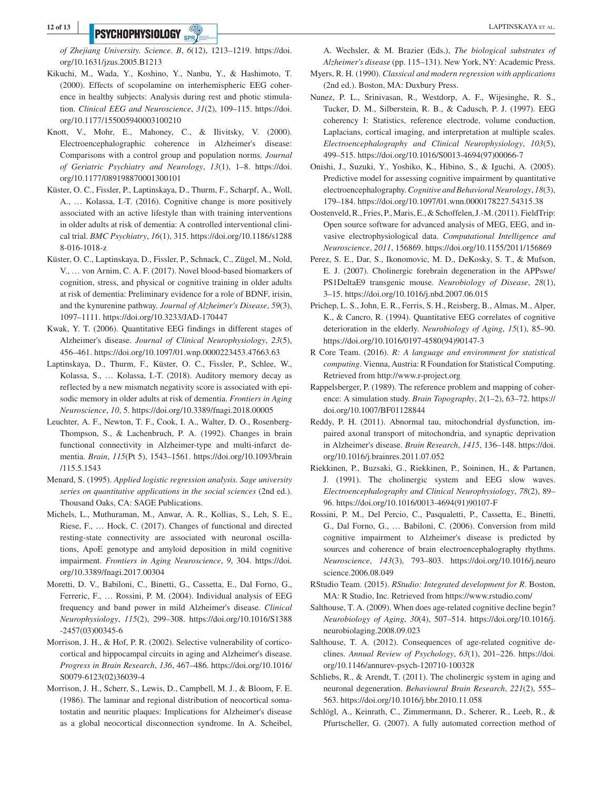# **PSYCHOPHYSIOLOGY** SOFTING THE CONTRACT OF THE CONTRACT OF THE CONTRACT OF THE CONTRACT OF THE CONTRACT OF THE CONTRACT OF THE CONTRACT OF THE CONTRACT OF THE CONTRACT OF THE CONTRACT OF THE CONTRACT OF THE CONTRACT OF THE

*of Zhejiang University. Science. B*, *6*(12), 1213–1219. [https://doi.](https://doi.org/10.1631/jzus.2005.B1213) [org/10.1631/jzus.2005.B1213](https://doi.org/10.1631/jzus.2005.B1213)

- Kikuchi, M., Wada, Y., Koshino, Y., Nanbu, Y., & Hashimoto, T. (2000). Effects of scopolamine on interhemispheric EEG coherence in healthy subjects: Analysis during rest and photic stimulation. *Clinical EEG and Neuroscience*, *31*(2), 109–115. [https://doi.](https://doi.org/10.1177/155005940003100210) [org/10.1177/155005940003100210](https://doi.org/10.1177/155005940003100210)
- Knott, V., Mohr, E., Mahoney, C., & Ilivitsky, V. (2000). Electroencephalographic coherence in Alzheimer's disease: Comparisons with a control group and population norms. *Journal of Geriatric Psychiatry and Neurology*, *13*(1), 1–8. [https://doi.](https://doi.org/10.1177/089198870001300101) [org/10.1177/089198870001300101](https://doi.org/10.1177/089198870001300101)
- Küster, O. C., Fissler, P., Laptinskaya, D., Thurm, F., Scharpf, A., Woll, A., … Kolassa, I.-T. (2016). Cognitive change is more positively associated with an active lifestyle than with training interventions in older adults at risk of dementia: A controlled interventional clinical trial. *BMC Psychiatry*, *16*(1), 315. [https://doi.org/10.1186/s1288](https://doi.org/10.1186/s12888-016-1018-z) [8-016-1018-z](https://doi.org/10.1186/s12888-016-1018-z)
- Küster, O. C., Laptinskaya, D., Fissler, P., Schnack, C., Zügel, M., Nold, V., … von Arnim, C. A. F. (2017). Novel blood-based biomarkers of cognition, stress, and physical or cognitive training in older adults at risk of dementia: Preliminary evidence for a role of BDNF, irisin, and the kynurenine pathway. *Journal of Alzheimer's Disease*, *59*(3), 1097–1111. <https://doi.org/10.3233/JAD-170447>
- Kwak, Y. T. (2006). Quantitative EEG findings in different stages of Alzheimer's disease. *Journal of Clinical Neurophysiology*, *23*(5), 456–461.<https://doi.org/10.1097/01.wnp.0000223453.47663.63>
- Laptinskaya, D., Thurm, F., Küster, O. C., Fissler, P., Schlee, W., Kolassa, S., … Kolassa, I.-T. (2018). Auditory memory decay as reflected by a new mismatch negativity score is associated with episodic memory in older adults at risk of dementia. *Frontiers in Aging Neuroscience*, *10*, 5. <https://doi.org/10.3389/fnagi.2018.00005>
- Leuchter, A. F., Newton, T. F., Cook, I. A., Walter, D. O., Rosenberg-Thompson, S., & Lachenbruch, P. A. (1992). Changes in brain functional connectivity in Alzheimer-type and multi-infarct dementia. *Brain*, *115*(Pt 5), 1543–1561. [https://doi.org/10.1093/brain](https://doi.org/10.1093/brain/115.5.1543) [/115.5.1543](https://doi.org/10.1093/brain/115.5.1543)
- Menard, S. (1995). *Applied logistic regression analysis. Sage university series on quantitative applications in the social sciences* (2nd ed.). Thousand Oaks, CA: SAGE Publications.
- Michels, L., Muthuraman, M., Anwar, A. R., Kollias, S., Leh, S. E., Riese, F., … Hock, C. (2017). Changes of functional and directed resting-state connectivity are associated with neuronal oscillations, ApoE genotype and amyloid deposition in mild cognitive impairment. *Frontiers in Aging Neuroscience*, *9*, 304. [https://doi.](https://doi.org/10.3389/fnagi.2017.00304) [org/10.3389/fnagi.2017.00304](https://doi.org/10.3389/fnagi.2017.00304)
- Moretti, D. V., Babiloni, C., Binetti, G., Cassetta, E., Dal Forno, G., Ferreric, F., … Rossini, P. M. (2004). Individual analysis of EEG frequency and band power in mild Alzheimer's disease. *Clinical Neurophysiology*, *115*(2), 299–308. [https://doi.org/10.1016/S1388](https://doi.org/10.1016/S1388-2457(03)00345-6) [-2457\(03\)00345-6](https://doi.org/10.1016/S1388-2457(03)00345-6)
- Morrison, J. H., & Hof, P. R. (2002). Selective vulnerability of corticocortical and hippocampal circuits in aging and Alzheimer's disease. *Progress in Brain Research*, *136*, 467–486. [https://doi.org/10.1016/](https://doi.org/10.1016/S0079-6123(02)36039-4) [S0079-6123\(02\)36039-4](https://doi.org/10.1016/S0079-6123(02)36039-4)
- Morrison, J. H., Scherr, S., Lewis, D., Campbell, M. J., & Bloom, F. E. (1986). The laminar and regional distribution of neocortical somatostatin and neuritic plaques: Implications for Alzheimer's disease as a global neocortical disconnection syndrome. In A. Scheibel,

A. Wechsler, & M. Brazier (Eds.), *The biological substrates of Alzheimer's disease* (pp. 115–131). New York, NY: Academic Press.

- Myers, R. H. (1990). *Classical and modern regression with applications* (2nd ed.). Boston, MA: Duxbury Press.
- Nunez, P. L., Srinivasan, R., Westdorp, A. F., Wijesinghe, R. S., Tucker, D. M., Silberstein, R. B., & Cadusch, P. J. (1997). EEG coherency I: Statistics, reference electrode, volume conduction, Laplacians, cortical imaging, and interpretation at multiple scales. *Electroencephalography and Clinical Neurophysiology*, *103*(5), 499–515. [https://doi.org/10.1016/S0013-4694\(97\)00066-7](https://doi.org/10.1016/S0013-4694(97)00066-7)
- Onishi, J., Suzuki, Y., Yoshiko, K., Hibino, S., & Iguchi, A. (2005). Predictive model for assessing cognitive impairment by quantitative electroencephalography. *Cognitive and Behavioral Neurology*, *18*(3), 179–184. <https://doi.org/10.1097/01.wnn.0000178227.54315.38>
- Oostenveld, R., Fries, P., Maris, E., & Schoffelen, J.-M. (2011). FieldTrip: Open source software for advanced analysis of MEG, EEG, and invasive electrophysiological data. *Computational Intelligence and Neuroscience*, *2011*, 156869. <https://doi.org/10.1155/2011/156869>
- Perez, S. E., Dar, S., Ikonomovic, M. D., DeKosky, S. T., & Mufson, E. J. (2007). Cholinergic forebrain degeneration in the APPswe/ PS1DeltaE9 transgenic mouse. *Neurobiology of Disease*, *28*(1), 3–15. <https://doi.org/10.1016/j.nbd.2007.06.015>
- Prichep, L. S., John, E. R., Ferris, S. H., Reisberg, B., Almas, M., Alper, K., & Cancro, R. (1994). Quantitative EEG correlates of cognitive deterioration in the elderly. *Neurobiology of Aging*, *15*(1), 85–90. [https://doi.org/10.1016/0197-4580\(94\)90147-3](https://doi.org/10.1016/0197-4580(94)90147-3)
- R Core Team. (2016). *R: A language and environment for statistical computing*. Vienna, Austria: R Foundation for Statistical Computing. Retrieved from <http://www.r-project.org>
- Rappelsberger, P. (1989). The reference problem and mapping of coherence: A simulation study. *Brain Topography*, *2*(1–2), 63–72. [https://](https://doi.org/10.1007/BF01128844) [doi.org/10.1007/BF01128844](https://doi.org/10.1007/BF01128844)
- Reddy, P. H. (2011). Abnormal tau, mitochondrial dysfunction, impaired axonal transport of mitochondria, and synaptic deprivation in Alzheimer's disease. *Brain Research*, *1415*, 136–148. [https://doi.](https://doi.org/10.1016/j.brainres.2011.07.052) [org/10.1016/j.brainres.2011.07.052](https://doi.org/10.1016/j.brainres.2011.07.052)
- Riekkinen, P., Buzsaki, G., Riekkinen, P., Soininen, H., & Partanen, J. (1991). The cholinergic system and EEG slow waves. *Electroencephalography and Clinical Neurophysiology*, *78*(2), 89– 96. [https://doi.org/10.1016/0013-4694\(91\)90107-F](https://doi.org/10.1016/0013-4694(91)90107-F)
- Rossini, P. M., Del Percio, C., Pasqualetti, P., Cassetta, E., Binetti, G., Dal Forno, G., … Babiloni, C. (2006). Conversion from mild cognitive impairment to Alzheimer's disease is predicted by sources and coherence of brain electroencephalography rhythms. *Neuroscience*, *143*(3), 793–803. [https://doi.org/10.1016/j.neuro](https://doi.org/10.1016/j.neuroscience.2006.08.049) [science.2006.08.049](https://doi.org/10.1016/j.neuroscience.2006.08.049)
- RStudio Team. (2015). *RStudio: Integrated development for R*. Boston, MA: R Studio, Inc. Retrieved from<https://www.rstudio.com/>
- Salthouse, T. A. (2009). When does age-related cognitive decline begin? *Neurobiology of Aging*, *30*(4), 507–514. [https://doi.org/10.1016/j.](https://doi.org/10.1016/j.neurobiolaging.2008.09.023) [neurobiolaging.2008.09.023](https://doi.org/10.1016/j.neurobiolaging.2008.09.023)
- Salthouse, T. A. (2012). Consequences of age-related cognitive declines. *Annual Review of Psychology*, *63*(1), 201–226. [https://doi.](https://doi.org/10.1146/annurev-psych-120710-100328) [org/10.1146/annurev-psych-120710-100328](https://doi.org/10.1146/annurev-psych-120710-100328)
- Schliebs, R., & Arendt, T. (2011). The cholinergic system in aging and neuronal degeneration. *Behavioural Brain Research*, *221*(2), 555– 563. <https://doi.org/10.1016/j.bbr.2010.11.058>
- Schlögl, A., Keinrath, C., Zimmermann, D., Scherer, R., Leeb, R., & Pfurtscheller, G. (2007). A fully automated correction method of